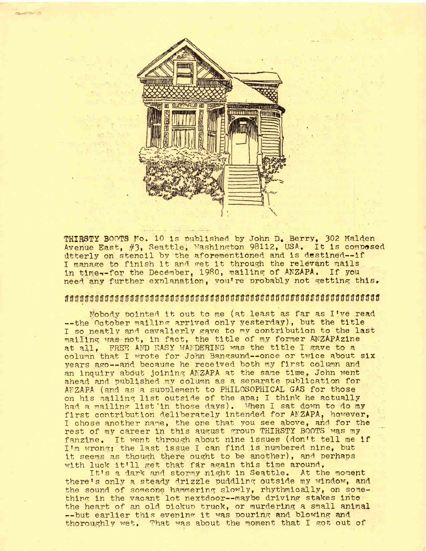

**THIRSTY** BOOTS **Fo.** 10 Is published, by John D. Berry., 302 Malden Avenue East, #3, Seattle, Washington 98112, USA. It is composed dtterly on stencil by the aforementioned and is destined—if I manage to finish it and get it through the relevant mails in time--for the December, 1980, mailing of ANZAPA. If you need any further explanation, vou're probably not getting this,

## wmwoowMWMWWOWmmwwmmmomoo

Nobody Pointed it out to me (at least as far as I've read --the October mailing arrived only yesterday), but the title I so neatly and cavalierly gave to my contribution to the last mailing was not, in fact, the title of my former ANZAPAzine at all. FREE AND EASY WANDERING was the title I gave to a column that I wrote for John Bangsund--once or twice about six years ago--and because he received both my first column and an inquiry about joining ANZAPA at the same time, John went ahead and published my column as a separate publication for AFZAPA (and as a supplement to PHILOSOPHICAL GAS for those on his mailing list outside of the apa; I think he actually had <sup>a</sup> mailing list'in those days). When <sup>I</sup> sat down to do my first contribution deliberately intended for ANZAPA, however, I chose another name, the one that you see above, and for the rest of my career in this august group THIRSTY BOOTS was my fanzine. It went through about nine issues (don't tell me if I'<sup>m</sup> wrong; the last issue <sup>I</sup> can find .is numbered nine, but it seems as though there ought to be another), and perhaps with luck it'll get that far again this time around,

It'<sup>s</sup> <sup>a</sup> dark and stormy night in Seattle, At the moment there's only a steady drizzle puddling outside my window, and the sound of someone hammering slowly, rhythmically, on something in the vacant lot nextdoor--maybe driving stakes into the heart of an old pickup truck, or murdering a small animal --but earlier this evening it was pouring and blowing and thoroughly wet. That was about the moment that I got out of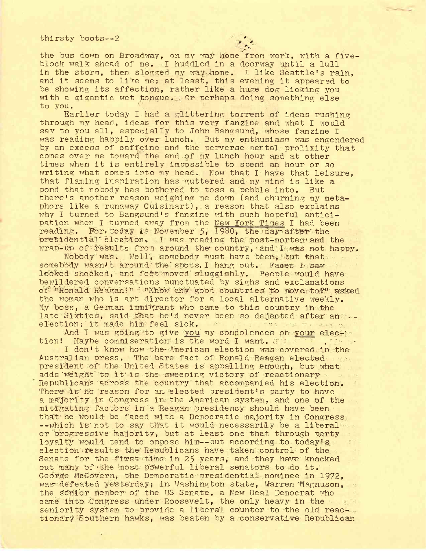## thirsty boots--2

the bus down on Broadway, on my way home from work, with a fiveblock walk ahead of me. I huddled in a doorway until a lull in the storm, then slogged my way home. I like Seattle's rain, and it seems to like me; at least, this evening it appeared to be showing its affection, rather like <sup>a</sup> huge dog licking you with a gigantic wet tongue. Or perhaps doing something else to you.

Earlier today I had a glittering torrent of ideas rushing through my head, ideas for this very fanzine and what I would say to you all, especially to John Bangsund, whose fanzine I was reading happily over lunch. But my enthusiasm was engendered by an excess of caffeine and the perverse mental prolixity that comes over me toward the end of my lunch hour and at other times when it is entirely Impossible to spend an hour or so writing what comes Into my head. Now that I have that leisure, that flaming inspiration has guttered and my mind is like a<br>pond that nobody has bothered to toss a pebble into. But pond that nobody has bothered to toss a pebble into. there's another reason weighing me down (and churning my metaphors like a runaway Cuisinart), a reason that also explains why I turned to Bangsund'<sup>s</sup> fanzine with such hopeful anticipation when I turned away from the New York Times I had been reading. For today is November 5, 1980, the day after the presidential election. I was reading the post-mortem and the wrap-up of results from around the country, and I was not happy.

Nobody was. Well", somebody must have been, 'but that somebody wasn't around the spots, I hang out. Faces I saw looked shocked, and feet moved' sluggishly. People'would have bewildered conversations punctuated by sighs and exclamations of "Ronald Reagan!" - "Know any good countries to move to?" asked the woman who is art director for a local alternative weekly. My boss, a German immigrant who came to this country in the late Sixties, said that he'd never been so dejected after' an j- election; it made him feel sick. 'co is a serie and contained in the magnitude of  $\mathbb{R}^n$ 

election; it made him feel sick.<br>And I was going to give you my condolences ph- your elec-1-<br>tion! Maybe commiseration is the word I want. Maybe commiseration is the word I want.  $\overline{c}$  " .  $\overline{c}$  .  $\overline{c}$  . I don't know how the American election was covered in the

Australian press. The bare-fact of Ronald Reagan elected --ver president of the-United States is' appalling enough, but what adds'weight' to it'is the sweeping victory of reactionary-Republicans "across the country that accompanied his election'. There is no reason for an elected president's party to have a majority in Congress in the American system, and one of the mitigating factors' in a Reagan presidency should have been that' he 'would- be faced with a Democratic majority in Congress- --which is'not to say that it would necessarily be <sup>a</sup> liberal or progressive majority, but at least one that through party loyalty would tend to oppose him—but according to .today's election results the Republicans have taken control of the. Senate for the first time in 25 years, and they have knocked out 'many of'the 'most powerful liberal senators- to-do it.: George McGovern, the Democratic presidential nominee in 1972. was-defeated yesterday; in.Washington state, Warren "Magnuson, the senior member- of the US Senate, a New Deal Democrat who came into Congress under Roosevelt, the only heavy in the seniority system to provide a liberal counter to the old reactionary Southern hawks, was beaten by a conservative Republican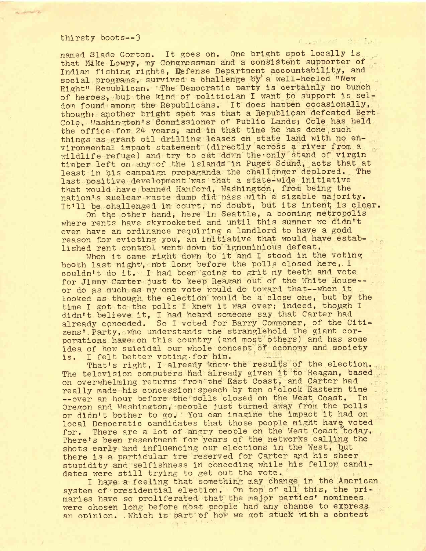## thirsty boots—<sup>3</sup> .... ........

**Service B** 

named. Slade Gorton. It goes on. One bright spot locally is that Make Lowry, my Congressman and' a consistent supporter of Indian fishing rights, defense Department accountability, and social programs, survived a challenge by a well-heeled "New Right" Republican. The Democratic party is certainly no bunch of heroes, but the kind of politician I want to support is seldom found among the Republicans. It does happen occasionally, thought another bright spot was that a Republican defeated Bert Cole, Washington's Commissioner of Public Lands; Cole has held the office for 24 years, and in that time he has done such things as grant oil drilling leases on state land with no environmental impact statement (directly across a river from a wildlife refuge) and try to cut down the-only stand of virgin timber left on any of the islands in Puget Sound, acts that at least in bls campaign propaganda the challenger deplored. The last positive development was that a state-wide initiative that would have banned Hanford, Washington, from being the nation's nuclear waste dump did pass with a sizable majority. It'll be challenged in court, no doubt, but its intent is clear.

On the other hand, here in Seattle, a booming metropolis where rents have skyrocketed and until this summer we didn't even have an ordinance requiring a landlord to have a godd reason for evicting you, an initiative that would have established rent control went down to'ignominious defeat.

When it came right down to it and I stood in the voting booth last night, not long before the polls closed here, I couldn't do it. <sup>I</sup> had been'going to grit my teeth and vote for Jimmy Carter just to keep Reagan out of the White House-or do as much as my one vote would do toward that--when it looked as though, the election would be a close one, but by the time <sup>I</sup> got to the polls <sup>I</sup> knew it was over; indeed, though <sup>I</sup> didn't believe it, I had heard someone say that Carter had didn't befreve 10, I had hoard bombono Bay onde our correct had<br>already conceded. So I voted for Barry Commoner, of the Citi-<br>zens' Party, who understands the stranglehold the giant corzens' Party, who understands the stranglehold the giant cor-<br>porations have on this country (and most others) and has some idea of how suicidal our whole concept of economy and society is. I felt better voting for him.

is. I felt better voting-for him. . . That's right, I already knew the results of the election. The television computers had already given it to Reagan, based on overwhelming returns from the East Coast, and Carter had really made his concession speech by ten o'clock Eastern time --over an hour before the polls closed on the West Coast. In Oregon and Washington, people just turned away from the polls or didn't bother to go. You can imagine the impact it had on local Democratic candidates that those people might have voted for. There are a lot of angry people on the West Coast today. There's been resentment for years of the networks calling the shots early and influencing our elections in the West, but there is a particular ire reserved for Carter and his sheer stupidity and selfishness in conceding while his fellow candidates were still trying to get out the vote.

I haye a feeling that something may change' in the American system of presidential election. On top of all this, the primaries have so proliferated that the major parties' nominees were chosen long before most people had any chance to express an opinion. .Which is part 'Of how we got stuck with a contest